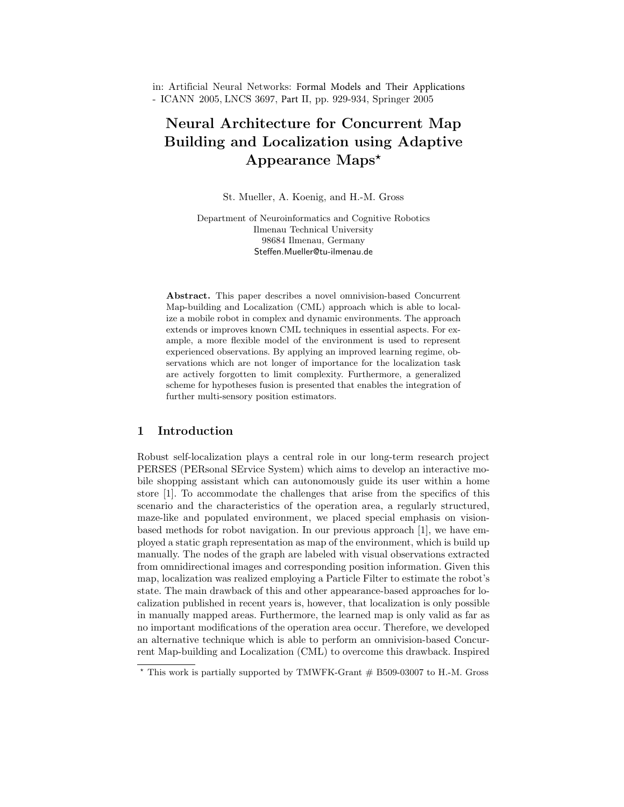in: Artificial Neural Networks: Formal Models and Their Applications - ICANN 2005, LNCS 3697, Part II, pp. 929-934, Springer 2005

# Neural Architecture for Concurrent Map Building and Localization using Adaptive Appearance Maps?

St. Mueller, A. Koenig, and H.-M. Gross

Department of Neuroinformatics and Cognitive Robotics Ilmenau Technical University 98684 Ilmenau, Germany Steffen.Mueller@tu-ilmenau.de

Abstract. This paper describes a novel omnivision-based Concurrent Map-building and Localization (CML) approach which is able to localize a mobile robot in complex and dynamic environments. The approach extends or improves known CML techniques in essential aspects. For example, a more flexible model of the environment is used to represent experienced observations. By applying an improved learning regime, observations which are not longer of importance for the localization task are actively forgotten to limit complexity. Furthermore, a generalized scheme for hypotheses fusion is presented that enables the integration of further multi-sensory position estimators.

# 1 Introduction

Robust self-localization plays a central role in our long-term research project PERSES (PERsonal SErvice System) which aims to develop an interactive mobile shopping assistant which can autonomously guide its user within a home store [1]. To accommodate the challenges that arise from the specifics of this scenario and the characteristics of the operation area, a regularly structured, maze-like and populated environment, we placed special emphasis on visionbased methods for robot navigation. In our previous approach [1], we have employed a static graph representation as map of the environment, which is build up manually. The nodes of the graph are labeled with visual observations extracted from omnidirectional images and corresponding position information. Given this map, localization was realized employing a Particle Filter to estimate the robot's state. The main drawback of this and other appearance-based approaches for localization published in recent years is, however, that localization is only possible in manually mapped areas. Furthermore, the learned map is only valid as far as no important modifications of the operation area occur. Therefore, we developed an alternative technique which is able to perform an omnivision-based Concurrent Map-building and Localization (CML) to overcome this drawback. Inspired

 $*$  This work is partially supported by TMWFK-Grant  $#$  B509-03007 to H.-M. Gross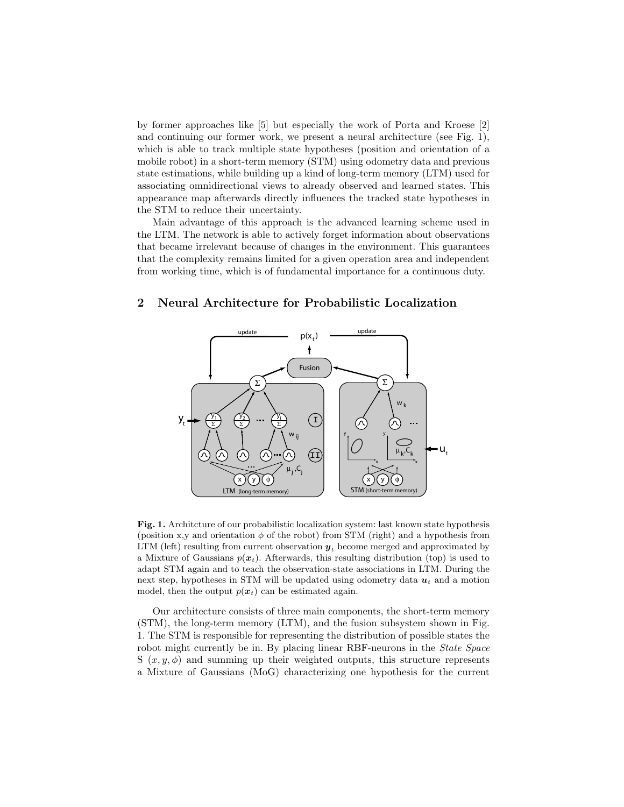by former approaches like [5] but especially the work of Porta and Kroese [2] and continuing our former work, we present a neural architecture (see Fig. 1), which is able to track multiple state hypotheses (position and orientation of a mobile robot) in a short-term memory (STM) using odometry data and previous state estimations, while building up a kind of long-term memory (LTM) used for associating omnidirectional views to already observed and learned states. This appearance map afterwards directly influences the tracked state hypotheses in the STM to reduce their uncertainty.

Main advantage of this approach is the advanced learning scheme used in the LTM. The network is able to actively forget information about observations that became irrelevant because of changes in the environment. This guarantees that the complexity remains limited for a given operation area and independent from working time, which is of fundamental importance for a continuous duty.

# 2 Neural Architecture for Probabilistic Localization



Fig. 1. Architcture of our probabilistic localization system: last known state hypothesis (position x,y and orientation  $\phi$  of the robot) from STM (right) and a hypothesis from LTM (left) resulting from current observation  $y_t$  become merged and approximated by a Mixture of Gaussians  $p(x_t)$ . Afterwards, this resulting distribution (top) is used to adapt STM again and to teach the observation-state associations in LTM. During the next step, hypotheses in STM will be updated using odometry data  $u_t$  and a motion model, then the output  $p(x_t)$  can be estimated again.

Our architecture consists of three main components, the short-term memory (STM), the long-term memory (LTM), and the fusion subsystem shown in Fig. 1. The STM is responsible for representing the distribution of possible states the robot might currently be in. By placing linear RBF-neurons in the *State Space* S  $(x, y, \phi)$  and summing up their weighted outputs, this structure represents a Mixture of Gaussians (MoG) characterizing one hypothesis for the current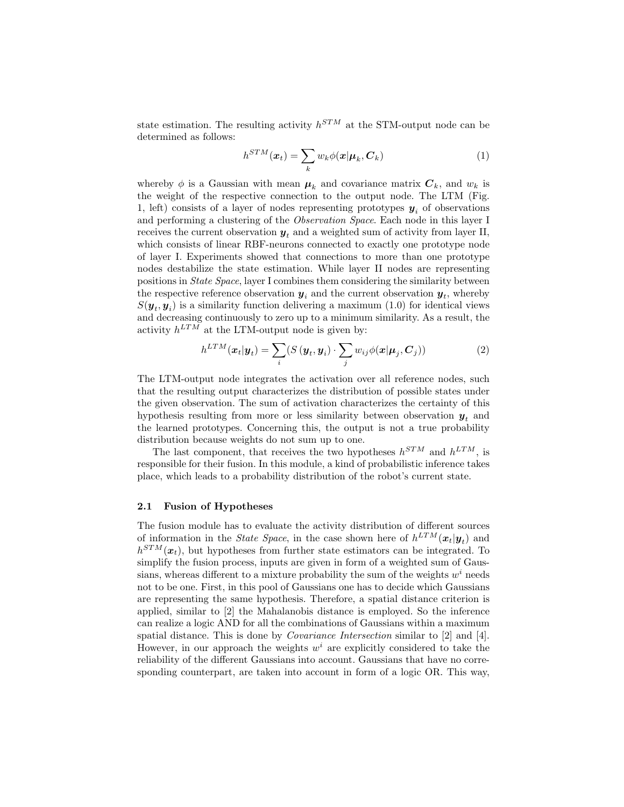state estimation. The resulting activity  $h^{STM}$  at the STM-output node can be determined as follows:

$$
h^{STM}(\boldsymbol{x}_t) = \sum_k w_k \phi(\boldsymbol{x}|\boldsymbol{\mu}_k, \boldsymbol{C}_k)
$$
\n(1)

whereby  $\phi$  is a Gaussian with mean  $\mu_k$  and covariance matrix  $C_k$ , and  $w_k$  is the weight of the respective connection to the output node. The LTM (Fig. 1, left) consists of a layer of nodes representing prototypes  $y_i$  of observations and performing a clustering of the Observation Space. Each node in this layer I receives the current observation  $y_t$  and a weighted sum of activity from layer II, which consists of linear RBF-neurons connected to exactly one prototype node of layer I. Experiments showed that connections to more than one prototype nodes destabilize the state estimation. While layer II nodes are representing positions in State Space, layer I combines them considering the similarity between the respective reference observation  $y_i$  and the current observation  $y_t$ , whereby  $S(\mathbf{y}_t, \mathbf{y}_i)$  is a similarity function delivering a maximum (1.0) for identical views and decreasing continuously to zero up to a minimum similarity. As a result, the activity  $h^{LTM}$  at the LTM-output node is given by:

$$
h^{LTM}(\boldsymbol{x}_t|\boldsymbol{y}_t) = \sum_i (S(\boldsymbol{y}_t, \boldsymbol{y}_i) \cdot \sum_j w_{ij} \phi(\boldsymbol{x}|\boldsymbol{\mu}_j, \boldsymbol{C}_j))
$$
(2)

The LTM-output node integrates the activation over all reference nodes, such that the resulting output characterizes the distribution of possible states under the given observation. The sum of activation characterizes the certainty of this hypothesis resulting from more or less similarity between observation  $y_t$ , and the learned prototypes. Concerning this, the output is not a true probability distribution because weights do not sum up to one.

The last component, that receives the two hypotheses  $h^{STM}$  and  $h^{LTM}$ , is responsible for their fusion. In this module, a kind of probabilistic inference takes place, which leads to a probability distribution of the robot's current state.

#### 2.1 Fusion of Hypotheses

The fusion module has to evaluate the activity distribution of different sources of information in the *State Space*, in the case shown here of  $h^{LTM}(\boldsymbol{x}_t|\boldsymbol{y}_t)$  and  $h^{STM}(\boldsymbol{x}_t)$ , but hypotheses from further state estimators can be integrated. To simplify the fusion process, inputs are given in form of a weighted sum of Gaussians, whereas different to a mixture probability the sum of the weights  $w^i$  needs not to be one. First, in this pool of Gaussians one has to decide which Gaussians are representing the same hypothesis. Therefore, a spatial distance criterion is applied, similar to [2] the Mahalanobis distance is employed. So the inference can realize a logic AND for all the combinations of Gaussians within a maximum spatial distance. This is done by *Covariance Intersection* similar to [2] and [4]. However, in our approach the weights  $w^i$  are explicitly considered to take the reliability of the different Gaussians into account. Gaussians that have no corresponding counterpart, are taken into account in form of a logic OR. This way,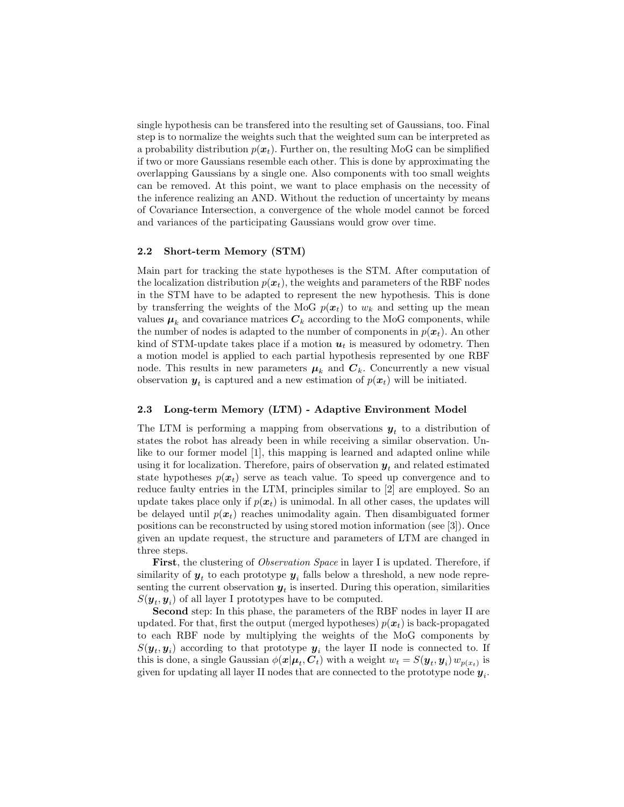single hypothesis can be transfered into the resulting set of Gaussians, too. Final step is to normalize the weights such that the weighted sum can be interpreted as a probability distribution  $p(x_t)$ . Further on, the resulting MoG can be simplified if two or more Gaussians resemble each other. This is done by approximating the overlapping Gaussians by a single one. Also components with too small weights can be removed. At this point, we want to place emphasis on the necessity of the inference realizing an AND. Without the reduction of uncertainty by means of Covariance Intersection, a convergence of the whole model cannot be forced and variances of the participating Gaussians would grow over time.

#### 2.2 Short-term Memory (STM)

Main part for tracking the state hypotheses is the STM. After computation of the localization distribution  $p(x_t)$ , the weights and parameters of the RBF nodes in the STM have to be adapted to represent the new hypothesis. This is done by transferring the weights of the MoG  $p(x_t)$  to  $w_k$  and setting up the mean values  $\mu_k$  and covariance matrices  $C_k$  according to the MoG components, while the number of nodes is adapted to the number of components in  $p(x_t)$ . An other kind of STM-update takes place if a motion  $u_t$  is measured by odometry. Then a motion model is applied to each partial hypothesis represented by one RBF node. This results in new parameters  $\mu_k$  and  $C_k$ . Concurrently a new visual observation  $y_t$  is captured and a new estimation of  $p(x_t)$  will be initiated.

#### 2.3 Long-term Memory (LTM) - Adaptive Environment Model

The LTM is performing a mapping from observations  $y_t$  to a distribution of states the robot has already been in while receiving a similar observation. Unlike to our former model [1], this mapping is learned and adapted online while using it for localization. Therefore, pairs of observation  $y_t$  and related estimated state hypotheses  $p(x_t)$  serve as teach value. To speed up convergence and to reduce faulty entries in the LTM, principles similar to [2] are employed. So an update takes place only if  $p(x_t)$  is unimodal. In all other cases, the updates will be delayed until  $p(x_t)$  reaches unimodality again. Then disambiguated former positions can be reconstructed by using stored motion information (see [3]). Once given an update request, the structure and parameters of LTM are changed in three steps.

First, the clustering of *Observation Space* in layer I is updated. Therefore, if similarity of  $y_t$  to each prototype  $y_i$  falls below a threshold, a new node representing the current observation  $y_t$  is inserted. During this operation, similarities  $S(\mathbf{y}_t, \mathbf{y}_i)$  of all layer I prototypes have to be computed.

Second step: In this phase, the parameters of the RBF nodes in layer II are updated. For that, first the output (merged hypotheses)  $p(x_t)$  is back-propagated to each RBF node by multiplying the weights of the MoG components by  $S(\mathbf{y}_t, \mathbf{y}_i)$  according to that prototype  $\mathbf{y}_i$  the layer II node is connected to. If this is done, a single Gaussian  $\phi(\mathbf{x}|\boldsymbol{\mu}_t, \boldsymbol{C}_t)$  with a weight  $w_t = S(\boldsymbol{y}_t, \boldsymbol{y}_i) w_{p(x_t)}$  is given for updating all layer II nodes that are connected to the prototype node  $y_i$ .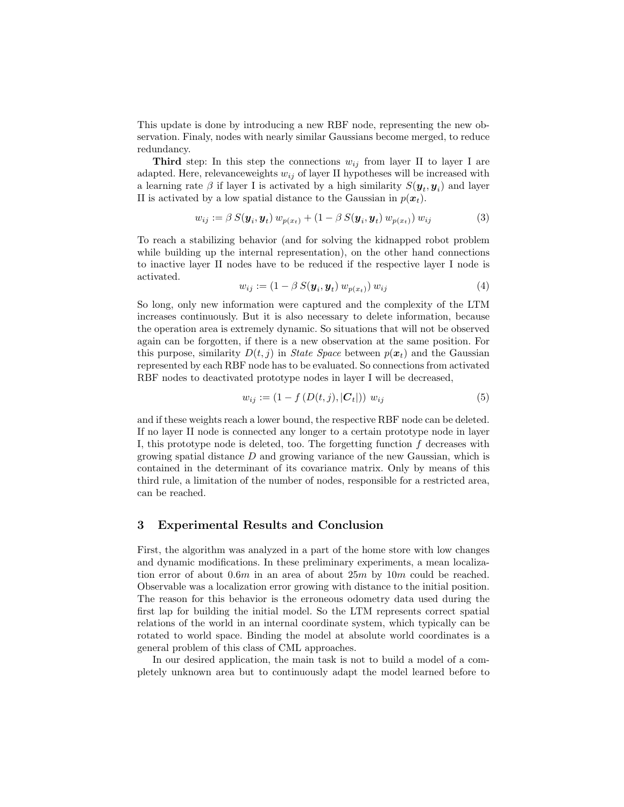This update is done by introducing a new RBF node, representing the new observation. Finaly, nodes with nearly similar Gaussians become merged, to reduce redundancy.

**Third** step: In this step the connections  $w_{ij}$  from layer II to layer I are adapted. Here, relevanceweights  $w_{ij}$  of layer II hypotheses will be increased with a learning rate  $\beta$  if layer I is activated by a high similarity  $S(\mathbf{y}_t, \mathbf{y}_i)$  and layer II is activated by a low spatial distance to the Gaussian in  $p(x_t)$ .

$$
w_{ij} := \beta S(\boldsymbol{y}_i, \boldsymbol{y}_t) w_{p(x_t)} + (1 - \beta S(\boldsymbol{y}_i, \boldsymbol{y}_t) w_{p(x_t)}) w_{ij}
$$
(3)

To reach a stabilizing behavior (and for solving the kidnapped robot problem while building up the internal representation), on the other hand connections to inactive layer II nodes have to be reduced if the respective layer I node is activated.

$$
w_{ij} := (1 - \beta S(\boldsymbol{y}_i, \boldsymbol{y}_t) w_{p(x_t)}) w_{ij}
$$
\n<sup>(4)</sup>

So long, only new information were captured and the complexity of the LTM increases continuously. But it is also necessary to delete information, because the operation area is extremely dynamic. So situations that will not be observed again can be forgotten, if there is a new observation at the same position. For this purpose, similarity  $D(t, j)$  in *State Space* between  $p(x_t)$  and the Gaussian represented by each RBF node has to be evaluated. So connections from activated RBF nodes to deactivated prototype nodes in layer I will be decreased,

$$
w_{ij} := (1 - f(D(t, j), |C_t|)) w_{ij}
$$
\n(5)

and if these weights reach a lower bound, the respective RBF node can be deleted. If no layer II node is connected any longer to a certain prototype node in layer I, this prototype node is deleted, too. The forgetting function  $f$  decreases with growing spatial distance  $D$  and growing variance of the new Gaussian, which is contained in the determinant of its covariance matrix. Only by means of this third rule, a limitation of the number of nodes, responsible for a restricted area, can be reached.

## 3 Experimental Results and Conclusion

First, the algorithm was analyzed in a part of the home store with low changes and dynamic modifications. In these preliminary experiments, a mean localization error of about  $0.6m$  in an area of about  $25m$  by  $10m$  could be reached. Observable was a localization error growing with distance to the initial position. The reason for this behavior is the erroneous odometry data used during the first lap for building the initial model. So the LTM represents correct spatial relations of the world in an internal coordinate system, which typically can be rotated to world space. Binding the model at absolute world coordinates is a general problem of this class of CML approaches.

In our desired application, the main task is not to build a model of a completely unknown area but to continuously adapt the model learned before to